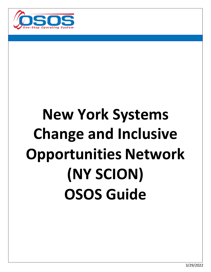

# **New York Systems Change and Inclusive Opportunities Network (NY SCION) OSOS Guide**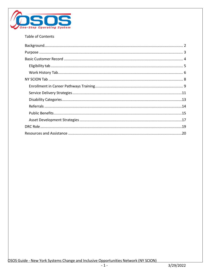

#### Table of Contents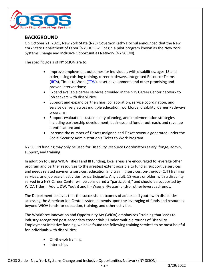

## <span id="page-2-0"></span>**BACKGROUND**

On October 21, 2021, New York State (NYS) Governor Kathy Hochul announced that the New York State Department of Labor (NYSDOL) will begin a pilot program known as the New York Systems Change and Inclusive Opportunities Network (NY SCION).

The specific goals of NY SCION are to:

- Improve employment outcomes for individuals with disabilities, ages 18 and older, using existing training, career pathways, Integrated Resource Teams [\(IRTs\)](https://disability.workforcegps.org/resources/2019/Integrated_Resource_Team_Information_and_Resources), Ticket to Work [\(TTW\)](#page-16-0), asset development, and other promising and proven interventions;
- Expand available career services provided in the NYS Career Center network to job seekers with disabilities;
- Support and expand partnerships, collaboration, service coordination, and service delivery across multiple education, workforce, disability, Career Pathways programs;
- Support evaluation, sustainability planning, and implementation strategies including partnership development, business and funder outreach, and revenue identification; and
- Increase the number of Tickets assigned and Ticket revenue generated under the Social Security Administration's Ticket to Work Program.

NY SCION funding may only be used for Disability Resource Coordinators salary, fringe, admin, support, and training.

In addition to using WIOA Titles I and III funding, local areas are encouraged to leverage other program and partner resources to the greatest extent possible to fund all supportive services and needs related payments services, education and training services, on-the-job (OJT) training services, and job search activities for participants. Any adult, 18 years or older, with a disability served in a NYS Career Center will be considered a "participant," and should be supported by WIOA Titles I (Adult, DW, Youth) and III (Wagner-Peyser) and/or other leveraged funds.

The Department believes that the successful outcomes of adults and youth with disabilities accessing the American Job Center system depends upon the leveraging of funds and resources beyond WIOA funds for education, training, and other activities.

The Workforce Innovation and Opportunity Act (WIOA) emphasizes "training that leads to industry-recognized post-secondary credentials." Under multiple rounds of Disability Employment Initiative funding, we have found the following training services to be most helpful for individuals with disabilities:

- On-the-job training
- Internships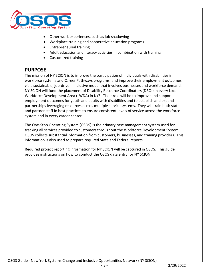

- Other work experiences, such as job shadowing
- Workplace training and cooperative education programs
- Entrepreneurial training
- Adult education and literacy activities in combination with training
- Customized training

# <span id="page-3-0"></span>**PURPOSE**

The mission of NY SCION is to improve the participation of individuals with disabilities in workforce systems and Career Pathways programs, and improve their employment outcomes via a sustainable, job-driven, inclusive model that involves businesses and workforce demand. NY SCION will fund the placement of Disability Resource Coordinators (DRCs) in every Local Workforce Development Area (LWDA) in NYS. Their role will be to improve and support employment outcomes for youth and adults with disabilities and to establish and expand partnerships leveraging resources across multiple service systems. They will train both state and partner staff in best practices to ensure consistent levels of service across the workforce system and in every career center.

The One-Stop Operating System (OSOS) is the primary case management system used for tracking all services provided to customers throughout the Workforce Development System. OSOS collects substantial information from customers, businesses, and training providers. This information is also used to prepare required State and Federal reports.

Required project reporting information for NY SCION will be captured in OSOS. This guide provides instructions on how to conduct the OSOS data entry for NY SCION.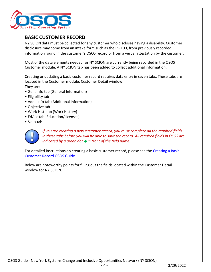

# <span id="page-4-0"></span>**BASIC CUSTOMER RECORD**

NY SCION data must be collected for any customer who discloses having a disability. Customer disclosure may come from an intake form such as the ES-100, from previously recorded information found in the customer's OSOS record or from a verbal attestation by the customer.

Most of the data elements needed for NY SCION are currently being recorded in the OSOS Customer module. A NY SCION tab has been added to collect additional information.

Creating or updating a basic customer record requires data entry in seven tabs. These tabs are located in the Customer module, Customer Detail window. They are:

- Gen. Info tab (General Information)
- Eligibility tab
- Add'l Info tab (Additional Information)
- Objective tab
- Work Hist. tab (Work History)
- Ed/Lic tab (Education/Licenses)
- Skills tab



*If you are creating a new customer record, you must complete all the required fields in these tabs before you will be able to save the record. All required fields in OSOS are indicated by a green dot in front of the field name.*

For detailed instructions on creating a basic customer record, please see the [Creating](https://dol.ny.gov/system/files/documents/2021/03/creating-a-basic-customer-record-osos-guide-12-10-2018.pdf) a Basic [Customer Record OSOS Guide.](https://dol.ny.gov/system/files/documents/2021/03/creating-a-basic-customer-record-osos-guide-12-10-2018.pdf)

Below are noteworthy points for filling out the fields located within the Customer Detail window for NY SCION.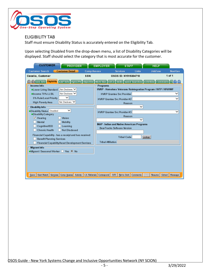

## <span id="page-5-0"></span>ELIGIBILITY TAB

Staff must ensure Disability Status is accurately entered on the Eligibility Tab.

Upon selecting Disabled from the drop-down menu, a list of Disability Categories will be displayed. Staff should select the category that is most accurate for the customer.

| <b>CUSTOMER</b><br><b>PROVIDER</b>                                                                                                                                                                                                                                                                                                                                                                                                                                                                                                                                                                                 | <b>EMPLOYER</b><br><b>HELP</b><br><b>STAFF</b>                                                                                                                                                                                                                                                                                                                                                                                                                                                                                                        |
|--------------------------------------------------------------------------------------------------------------------------------------------------------------------------------------------------------------------------------------------------------------------------------------------------------------------------------------------------------------------------------------------------------------------------------------------------------------------------------------------------------------------------------------------------------------------------------------------------------------------|-------------------------------------------------------------------------------------------------------------------------------------------------------------------------------------------------------------------------------------------------------------------------------------------------------------------------------------------------------------------------------------------------------------------------------------------------------------------------------------------------------------------------------------------------------|
| <b>Customer Search</b><br><b>Customer Detail</b><br><b>Comp Assess</b>                                                                                                                                                                                                                                                                                                                                                                                                                                                                                                                                             | <b>Links</b><br><b>JobZone</b><br><b>NextGen</b><br><b>Services</b>                                                                                                                                                                                                                                                                                                                                                                                                                                                                                   |
| SSN:<br>Cecelia, Customer                                                                                                                                                                                                                                                                                                                                                                                                                                                                                                                                                                                          | 1 of 1<br>OSOS ID: NY015304710                                                                                                                                                                                                                                                                                                                                                                                                                                                                                                                        |
| Income Info<br>Not Disdosed V<br><b>OLower Living Standard</b><br>Not Disdosed V<br>Olncome 70% LLSIL<br>$\check{ }$<br>5% Rule/Local Priority<br>Not Discloser V<br>High Poverty Area<br>Disability Info<br>$\checkmark$<br>·Disability Status Disabled<br>·Disability Category<br>$\vee$ Hearing<br>Vision<br>Mental<br>Mobility<br>Cognitive/I/DD<br>Learning<br>Chronic Health<br>Not Disclosed<br>Financial Capability - has a receipt and has received:<br><b>Benefit Planning Services</b><br>Financial Capability/Asset Development Services<br><b>Migrant Info</b><br>●Migrant/Seasonal Worker ● Yes ● No | < Gen. Info Eligibility   Add'l Info   Pgms/PA   Objective   Work Hist.   Ed/Lic   Skills   Saved Searches   Activities   Comments   Te >   >><br>Programs<br>HVRP - Homeless Veterans Reintegration Program / IVTP / HFVVWF<br><b>HVRP Grantee Svc Provider</b><br><b>HVRP Grantee Svc Provider#2</b><br>Reason<br>$\check{ }$<br>◡<br><b>HVRP Grantee Svc Provider#3</b><br>Reason<br>$\checkmark$<br><b>INAP - Indian and Native American Programs</b><br>BearTracks Software Version<br><b>Tribal Code</b><br>Lookup<br><b>Tribal Affiliation</b> |
| Start Match Services Comp Assess Activity<br>Save                                                                                                                                                                                                                                                                                                                                                                                                                                                                                                                                                                  | I.A. Referrals Correspond<br><b>IVR</b><br>Ret to Srch Comments<br>Sched<br>Resume<br>Message<br>Tag.                                                                                                                                                                                                                                                                                                                                                                                                                                                 |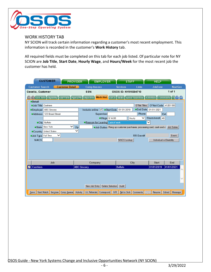

#### <span id="page-6-0"></span>WORK HISTORY TAB

NY SCION will track certain information regarding a customer's most recent employment. This information is recorded in the customer's **Work History** tab.

All required fields must be completed on this tab for each job listed. Of particular note for NY SCION are **Job Title**, **Start Date**, **Hourly Wage**, and **Hours/Week** for the most recent job the customer has held.

| <b>CUSTOMER</b>                                                                                                               | <b>PROVIDER</b><br><b>EMPLOYER</b>              | <b>STAFF</b>                                                                   |                             | <b>HELP</b>             |                  |
|-------------------------------------------------------------------------------------------------------------------------------|-------------------------------------------------|--------------------------------------------------------------------------------|-----------------------------|-------------------------|------------------|
| <b>Customer Search</b><br><b>Customer Detail</b>                                                                              | <b>Comp Assess</b>                              | <b>Services</b>                                                                | Links                       | JobZone                 | <b>NextGen</b>   |
| Cecelia, Customer                                                                                                             | SSN:                                            | OSOS ID: NY015304710                                                           |                             |                         | 1 of 1           |
| <<  <  Gen. Info Eligibility Add'I Info Pgms/PA Objective Work Hist. Ed/Lic Skills Saved Searches Activities Comments Te > >> |                                                 |                                                                                |                             |                         |                  |
| <b>O</b> Detail                                                                                                               |                                                 |                                                                                |                             |                         |                  |
| Job Title Cashiers                                                                                                            |                                                 |                                                                                | O <sup>*</sup> Net Titles   | O*Net Code   41201100   |                  |
| <b>Employer</b> ABC Grocery                                                                                                   | Include online <u>V</u> ● Start Date 01/01/2019 |                                                                                | <b>•End Date</b> 01/01/2021 |                         |                  |
| Address   123 Broad Street                                                                                                    | Supervisor                                      |                                                                                | Phone                       |                         | <b>Ext.</b>      |
|                                                                                                                               |                                                 | ·Wage \$14.00                                                                  | $\checkmark$<br>Hourly      | Hours/week 40           |                  |
| City Buffalo                                                                                                                  | <b>Reason for Leaving Lack of work</b>          |                                                                                |                             | ◡                       |                  |
| State New York                                                                                                                | Zip                                             | OJob Duties Rang up customer purchases, processing card, cash and c Job Duties |                             |                         |                  |
| Country United States                                                                                                         | $\checkmark$                                    |                                                                                |                             |                         |                  |
| Job Type Full Time                                                                                                            |                                                 |                                                                                | RR Event#                   |                         | Event            |
| <b>NACS</b>                                                                                                                   |                                                 | <b>NAICS</b> Lookup                                                            |                             | Individual w Disability |                  |
|                                                                                                                               |                                                 |                                                                                |                             |                         |                  |
|                                                                                                                               |                                                 |                                                                                |                             |                         |                  |
| Job                                                                                                                           | Company                                         |                                                                                | City                        | Start                   | End              |
| <b>Cashiers</b><br>◡                                                                                                          | <b>ABC Grocery</b>                              | <b>Buffalo</b>                                                                 |                             | 01/01/2019              | 01/01/2021       |
|                                                                                                                               |                                                 |                                                                                |                             |                         |                  |
|                                                                                                                               |                                                 |                                                                                |                             |                         |                  |
|                                                                                                                               |                                                 |                                                                                |                             |                         |                  |
|                                                                                                                               | New Job Entry                                   | Delete Selection Audit                                                         |                             |                         |                  |
| Save Start Match Services Comp Assess                                                                                         | I.A. Referrals Correspond<br>Activity           | Ret to Srch Comments<br><b>IVR</b>                                             | Tag                         | Resume                  | Sched<br>Message |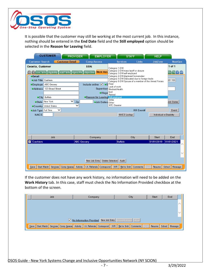

It is possible that the customer may still be working at the most current job. In this instance, nothing should be entered in the **End Date** field and the **Still employed** option should be selected in the **Reason for Leaving** field.

| <b>CUSTOMER</b>                                                                                                                                                                                                                                                         | <b>PROVIDER</b>                                                                                     | <b>EMPLOYER</b>                                                                                                                                                           | <b>STAFF</b>                                                                                                                                                                                                     |                 | <b>HELP</b> |                                                           |  |  |
|-------------------------------------------------------------------------------------------------------------------------------------------------------------------------------------------------------------------------------------------------------------------------|-----------------------------------------------------------------------------------------------------|---------------------------------------------------------------------------------------------------------------------------------------------------------------------------|------------------------------------------------------------------------------------------------------------------------------------------------------------------------------------------------------------------|-----------------|-------------|-----------------------------------------------------------|--|--|
| <b>Customer Detail</b><br><b>Customer Search</b>                                                                                                                                                                                                                        | <b>Comp Assess</b>                                                                                  |                                                                                                                                                                           | <b>Services</b>                                                                                                                                                                                                  | <b>Links</b>    | JobZone     | <b>NextGen</b>                                            |  |  |
| Cecelia, Customer<br><< < Gen. Info Eligibility Add'l Info Pgms/PA Objective<br><b>O</b> Detail<br>Job Title Cashiers<br>ABC Grocery<br>·Employer<br>123 Broad Street<br><b>Address</b><br>City Buffalo<br>$\checkmark$<br>New York<br>● State<br>Country United States | SSN:<br>Include online V OS Fired<br><b>Reason for Leaving</b> Still employed<br>Zip<br>$\check{ }$ | Category 1-DW<br><b>Work Hist.</b><br>Lack of work<br>Supervisor Medical/Health<br>Quit<br>$\bullet$ Wage<br>Retired<br>Strike<br>Job Duties Other<br><b>WTC</b> Disaster | Category 2-DW mass layoff or dosure<br>Category 3-DW self-employed<br>Category 4-DW displaced homemaker<br>Category 5-DW Dislocated due to foreign trade<br>Category 6-DW Spouse of a member of the Armed Forces |                 |             | $1$ of $1$<br>$its$ Te $>$ $\geq$<br>201100<br>Job Duties |  |  |
| Job Type Full Time<br>RR Event#<br>$\checkmark$<br>Event<br><b>NACS</b><br>NAICS Lookup<br>Individual w Disability                                                                                                                                                      |                                                                                                     |                                                                                                                                                                           |                                                                                                                                                                                                                  |                 |             |                                                           |  |  |
| Job                                                                                                                                                                                                                                                                     | Company                                                                                             |                                                                                                                                                                           | City                                                                                                                                                                                                             |                 | Start       | End                                                       |  |  |
| Cashiers<br>⊽                                                                                                                                                                                                                                                           | <b>ABC Grocery</b>                                                                                  |                                                                                                                                                                           | <b>Buffalo</b>                                                                                                                                                                                                   |                 | 01/01/2019  | 01/01/2021                                                |  |  |
|                                                                                                                                                                                                                                                                         | New Job Entry                                                                                       | Delete Selection Audit                                                                                                                                                    |                                                                                                                                                                                                                  |                 |             |                                                           |  |  |
| Start Match<br>Services<br>Comp Assess Activity<br>Save                                                                                                                                                                                                                 | I.A. Referrals Correspond                                                                           | IVR                                                                                                                                                                       | Ret to Srch                                                                                                                                                                                                      | Comments<br>Tag | Resume      | Sched<br>Message                                          |  |  |

If the customer does not have any work history, no information will need to be added on the **Work History** tab. In this case, staff must check the No Information Provided checkbox at the bottom of the screen.

| Job | Company                                                                                                                    | City | Start | End |
|-----|----------------------------------------------------------------------------------------------------------------------------|------|-------|-----|
|     |                                                                                                                            |      |       |     |
|     |                                                                                                                            |      |       |     |
|     |                                                                                                                            |      |       |     |
|     | V No Information Provided New Job Entry Delete Selection Audit                                                             |      |       |     |
|     | Save Start Match Services Comp Assess Activity I.A. Referrals Correspond IVR Ret to Srch Comments Tag Resume Sched Message |      |       |     |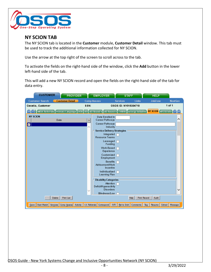

# <span id="page-8-0"></span>**NY SCION TAB**

The NY SCION tab is located in the **Customer** module, **Customer Detail** window. This tab must be used to track the additional information collected for NY SCION.

Use the arrow at the top right of the screen to scroll across to the tab.

To activate the fields on the right-hand side of the window, click the **Add** button in the lower left-hand side of the tab.

This will add a new NY SCION record and open the fields on the right-hand side of the tab for data entry.

| <b>CUSTOMER</b>                                                                                                                  | <b>PROVIDER</b>        | <b>EMPLOYER</b>                                | <b>STAFF</b>            | <b>HELP</b>                    |                  |
|----------------------------------------------------------------------------------------------------------------------------------|------------------------|------------------------------------------------|-------------------------|--------------------------------|------------------|
| <b>Customer Search</b>                                                                                                           | <b>Customer Detail</b> | <b>Comp Assess</b>                             | <b>Services</b>         | <b>Links</b><br><b>JobZone</b> | <b>NextGen</b>   |
| Cecelia, Customer                                                                                                                | SSN:                   |                                                | OSOS ID: NY015304710    |                                | 1 of 1           |
| << < > < > MOA Referrals Primary Language DOB DEI DEI Round 6 DEI Round 3 THRIVE Entergy Initiative NY SCION (NYESS Info    > >> |                        |                                                |                         |                                |                  |
| <b>NY SCION</b><br>Date                                                                                                          |                        | Date Enrolled in<br>Career Pathways<br>>       |                         |                                | ∧                |
| ⊡                                                                                                                                |                        | Career Pathways                                |                         |                                |                  |
|                                                                                                                                  |                        | Industry<br><b>Service Delivery Strategies</b> |                         |                                |                  |
|                                                                                                                                  |                        | Integrated                                     |                         |                                |                  |
|                                                                                                                                  |                        | Resource Teams                                 |                         |                                |                  |
|                                                                                                                                  |                        | Leveraged<br>Funding                           |                         |                                |                  |
|                                                                                                                                  |                        | Work-Based<br>Experience                       |                         |                                |                  |
|                                                                                                                                  |                        | Custom ized<br>Employment                      |                         |                                |                  |
|                                                                                                                                  |                        | <b>Benefits</b><br>Advisement/Work             |                         |                                |                  |
|                                                                                                                                  |                        | Incentive                                      |                         |                                |                  |
|                                                                                                                                  |                        | Individualized<br>Learning Plan                |                         |                                |                  |
|                                                                                                                                  |                        | Disability Categories                          |                         |                                |                  |
|                                                                                                                                  |                        | Attention                                      |                         |                                |                  |
|                                                                                                                                  |                        | Deficit/Hyperactivity<br><b>Disorders</b>      |                         |                                | v                |
|                                                                                                                                  |                        | Blindness/Low                                  |                         |                                |                  |
| Add<br>Delete                                                                                                                    | Print List             |                                                | Help                    | Audit<br>Print Record          |                  |
|                                                                                                                                  |                        |                                                |                         |                                |                  |
| Start Match Services Comp Assess<br>Save                                                                                         | Activity               | <b>IVR</b><br>I.A. Referrals Correspond        | Ret to Srch<br>Comments | Tag<br>Resume                  | Sched<br>Message |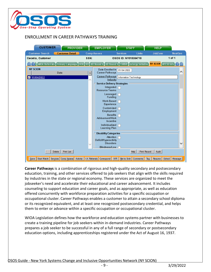

## <span id="page-9-0"></span>ENROLLMENT IN CAREER PATHWAYS TRAINING

| <b>CUSTOMER</b>                                                                                   | <b>PROVIDER</b>        |      | <b>EMPLOYER</b>                                | <b>STAFF</b>           |              | <b>HELP</b>            |                |
|---------------------------------------------------------------------------------------------------|------------------------|------|------------------------------------------------|------------------------|--------------|------------------------|----------------|
| <b>Customer Search</b>                                                                            | <b>Customer Detail</b> |      | <b>Comp Assess</b>                             | <b>Services</b>        | <b>Links</b> | <b>JobZone</b>         | <b>NextGen</b> |
| Cecelia, Customer                                                                                 |                        | SSN: |                                                | OSOS ID: NY015304710   |              |                        | 1 of 1         |
| << < < > MOA Referrals Primary Language DOB DEI DEI Round 6 DEI Round 8 THRIVE Entergy Initiative |                        |      |                                                |                        |              | NY SCION NYESS Info >  |                |
| <b>NY SCION</b>                                                                                   | Date                   | >    | Date Enrolled in 01/04/2022<br>Career Pathways |                        |              |                        | ∧              |
| 101/04/2022                                                                                       |                        |      | Career Pathways<br>Industry                    | Information Technology |              |                        |                |
|                                                                                                   |                        |      | <b>Service Delivery Strategies</b>             |                        |              |                        |                |
|                                                                                                   |                        |      | Integrated<br>Resource Teams                   |                        |              |                        |                |
|                                                                                                   |                        |      | Leveraged<br>Fundina                           |                        |              |                        |                |
|                                                                                                   |                        |      | Work-Based<br>Experience                       |                        |              |                        |                |
|                                                                                                   |                        |      | Customized<br>Employment                       |                        |              |                        |                |
|                                                                                                   |                        |      | <b>Benefits</b><br>Advisement/Work             |                        |              |                        |                |
|                                                                                                   |                        |      | Incentive                                      |                        |              |                        |                |
|                                                                                                   |                        |      | Individualized<br>Learning Plan                |                        |              |                        |                |
|                                                                                                   |                        |      | <b>Disability Categories</b>                   |                        |              |                        |                |
|                                                                                                   |                        |      | Attention<br>Deficit/Hyperactivity             |                        |              |                        |                |
|                                                                                                   |                        |      | <b>Disorders</b>                               |                        |              |                        |                |
|                                                                                                   |                        |      | Blindness/Low                                  |                        |              |                        |                |
| Add<br>Delete                                                                                     | Print List             |      |                                                | Help                   | Print Record | Audit                  |                |
| Start Match Services Comp Assess<br>Save                                                          | Activity               |      | I.A. Referrals Correspond<br><b>IVR</b>        | Ret to Srch Comments   |              | Sched<br>Tag<br>Resume | Message        |

**Career Pathways** is a combination of rigorous and high-quality secondary and postsecondary education, training, and other services offered to job seekers that align with the skills required by industries in the state or regional economy. These services are organized to meet the jobseeker's need and accelerate their educational and career advancement. It includes counseling to support education and career goals, and as appropriate, as well as education offered concurrently with workforce preparation activities for a specific occupation or occupational cluster. Career Pathways enables a customer to attain a secondary school diploma or its recognized equivalent, and at least one recognized postsecondary credential, and helps them to enter or advance within a specific occupation or occupational cluster.

WIOA Legislation defines how the workforce and education systems partner with businesses to create a training pipeline for job seekers within in-demand industries. Career Pathways prepares a job seeker to be successful in any of a full range of secondary or postsecondary education options, including apprenticeships registered under the Act of August 16, 1937.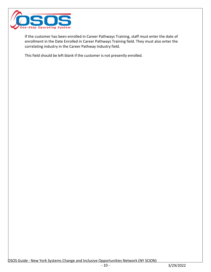

If the customer has been enrolled in Career Pathways Training, staff must enter the date of enrollment in the Date Enrolled in Career Pathways Training field. They must also enter the correlating industry in the Career Pathway Industry field.

This field should be left blank if the customer is not presently enrolled.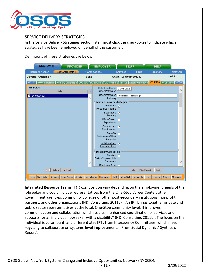

#### <span id="page-11-0"></span>SERVICE DELIVERY STRATEGIES

In the Service Delivery Strategies section, staff must click the checkboxes to indicate which strategies have been employed on behalf of the customer.

Definitions of these strategies are below.

| <b>CUSTOMER</b><br><b>PROVIDER</b>                                                        | <b>EMPLOYER</b>                       | <b>STAFF</b>                                                         |                      | <b>HELP</b>               |                |
|-------------------------------------------------------------------------------------------|---------------------------------------|----------------------------------------------------------------------|----------------------|---------------------------|----------------|
| <b>Customer Detail</b><br><b>Customer Search</b>                                          | <b>Comp Assess</b>                    | <b>Services</b>                                                      | <b>Links</b>         | JobZone                   | <b>NextGen</b> |
| Cecelia, Customer                                                                         | SSN:                                  | OSOS ID: NY015304710                                                 |                      |                           | 1 of 1         |
| WIOA Referrals Primary Language DOB DEI DEI Round 6 DEI Round 8 THRIVE Entergy Initiative |                                       |                                                                      |                      | NY SCION NYESS Info  > >> |                |
| <b>NY SCION</b><br>Date                                                                   |                                       | Date Enrolled in<br>01/04/2022<br>Career Pathways                    |                      |                           | ∧              |
| 01/04/2022<br>M                                                                           | >                                     | Career Pathways<br>Information Technology<br>Industry                |                      |                           |                |
|                                                                                           |                                       | <b>Service Delivery Strategies</b><br>Integrated V<br>Resource Teams |                      |                           |                |
|                                                                                           |                                       | Leveraged $\overline{\sqrt{ }}$<br>Funding                           |                      |                           |                |
|                                                                                           |                                       | Work-Based<br>Experience                                             |                      |                           |                |
|                                                                                           |                                       | Customized $\nabla$<br>Employment                                    |                      |                           |                |
|                                                                                           |                                       | <b>Benefits</b><br>Advisement/Work<br>Incentive                      |                      |                           |                |
|                                                                                           |                                       | Individualized<br>$\overline{\mathbf{v}}$<br>Learning Plan           |                      |                           |                |
|                                                                                           |                                       | Disability Categories<br>Attention                                   |                      |                           |                |
|                                                                                           |                                       | Deficit/Hyperactivity<br><b>Disorders</b><br>Blindness/Low           |                      |                           |                |
| Add<br>Delete<br>Print List                                                               |                                       |                                                                      | Help<br>Print Record | Audit                     |                |
| Start Match Services Comp Assess<br>Save                                                  | I.A. Referrals Correspond<br>Activity | <b>IVR</b>                                                           | Ret to Srch Comments | Sched<br>Tag<br>Resume    | Message        |

**Integrated Resource Teams** (IRT) composition vary depending on the employment needs of the jobseeker and could include representatives from the One-Stop Career Center, other government agencies, community colleges or other post-secondary institutions, nonprofit partners, and other organizations (NDI Consulting, 2011a). "An IRT brings together private and public sector representatives at the local, One-Stop community level. It improves communication and collaboration which results in enhanced coordination of services and supports for an individual jobseeker with a disability" (NDI Consulting, 2011b). The focus on the individual is paramount, and differentiates IRTs from Interagency Committees, which meet regularly to collaborate on systems-level improvements. (From Social Dynamics' Synthesis Report).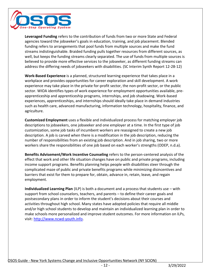

**Leveraged Funding** refers to the contribution of funds from two or more State and Federal agencies toward the jobseeker's goals in education, training, and job placement. Blended funding refers to arrangements that pool funds from multiple sources and make the fund streams indistinguishable. Braided funding pulls together resources from different sources, as well, but keeps the funding streams clearly separated. The use of funds from multiple sources is believed to provide more effective services to the jobseeker, as different funding streams can address the differing needs of jobseekers with disabilities. (SC Interim Synth Report 12-28-12)

**Work-Based Experience** is a planned, structured learning experience that takes place in a workplace and provides opportunities for career exploration and skill development. A work experience may take place in the private for-profit sector, the non-profit sector, or the public sector. WIOA identifies types of work experience for employment opportunities available, preapprenticeship and apprenticeship programs, internships, and job shadowing. Work-based experiences, apprenticeships, and internships should ideally take place in demand industries such as health care, advanced manufacturing, information technology, hospitality, finance, and agriculture.

**Customized Employment** uses a flexible and individualized process for matching employer job descriptions to jobseekers, one jobseeker and one employer at a time. In the first type of job customization, some job tasks of incumbent workers are reassigned to create a new job description. A job is carved when there is a modification in the job description, reducing the number of responsibilities from an existing job description. And in job sharing, two or more workers share the responsibilities of one job based on each worker's strengths (ODEP, n.d.a).

**Benefits Advisement/Work Incentive Counseling** refers to the person-centered analysis of the effect that work and other life situation changes have on public and private programs, including income support programs. Benefits planning helps people with disabilities steer through the complicated maze of public and private benefits programs while minimizing disincentives and barriers that exist for them to prepare for, obtain, advance in, retain, leave, and regain employment.

**Individualized Learning Plan** (ILP) is both a document and a process that students use – with support from school counselors, teachers, and parents – to define their career goals and postsecondary plans in order to inform the student's decisions about their courses and activities throughout high school. Many states have adopted policies that require all middle and/or high school students to develop and maintain an individualized learning plan in order to make schools more personalized and improve student outcomes. For more information on ILPs, visit: [http://www.ncwd-youth.info.](http://www.ncwd-youth.info/publications/promoting-quality-individualized-learning-plans-throughout-the-lifespan-a-revised-and-updated-ilp-how-to-guide-2-0/)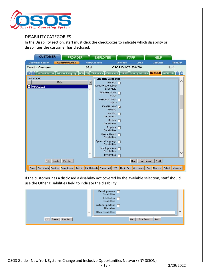

## <span id="page-13-0"></span>DISABILITY CATEGORIES

In the Disability section, staff must click the checkboxes to indicate which disability or disabilities the customer has disclosed.

| <b>CUSTOMER</b>                                                                                                        | <b>PROVIDER</b>                                                     |        | <b>EMPLOYER</b>                           |                      | <b>STAFF</b>                | <b>HELP</b> |                  |
|------------------------------------------------------------------------------------------------------------------------|---------------------------------------------------------------------|--------|-------------------------------------------|----------------------|-----------------------------|-------------|------------------|
| <b>Customer Search</b>                                                                                                 | <b>Customer Detail</b>                                              |        | <b>Comp Assess</b>                        | <b>Services</b>      | Links                       | JobZone     | <b>NextGen</b>   |
| Cecelia, Customer                                                                                                      |                                                                     | SSN:   |                                           | OSOS ID: NY015304710 |                             |             | $1$ of $1$       |
| <>   WOA Referrals Primary Language DOB DEI DEI Round 6 DEI Round 8 THRIVE Entergy Initiative NY SCION NYESS Info > >> |                                                                     |        |                                           |                      |                             |             |                  |
| <b>NY SCION</b>                                                                                                        |                                                                     |        | <b>Disability Categories</b>              |                      |                             |             |                  |
|                                                                                                                        | Date                                                                | $\geq$ | Attention                                 |                      |                             |             | ∧                |
| 01/04/2022<br>M                                                                                                        |                                                                     | Λ      | Deficit/Hyperactivity<br><b>Disorders</b> |                      |                             |             |                  |
|                                                                                                                        |                                                                     |        | Blindness/Low<br>Vision                   |                      |                             |             |                  |
|                                                                                                                        |                                                                     |        | <b>Traumatic Brain</b><br>Injury          |                      |                             |             |                  |
|                                                                                                                        |                                                                     |        | Deaf/Hard of $\sqrt{}$<br>Hearing         |                      |                             |             |                  |
|                                                                                                                        |                                                                     |        | Learning<br><b>Disabilities</b>           |                      |                             |             |                  |
|                                                                                                                        |                                                                     |        | Medical<br><b>Disabilities</b>            |                      |                             |             |                  |
|                                                                                                                        |                                                                     |        | Physical<br><b>Disabilities</b>           |                      |                             |             |                  |
|                                                                                                                        |                                                                     |        | Mental Health<br><b>Disabilities</b>      |                      |                             |             |                  |
|                                                                                                                        |                                                                     |        | Speech/Language<br><b>Disabilities</b>    |                      |                             |             |                  |
|                                                                                                                        |                                                                     |        | Developmental<br><b>Disabilities</b>      |                      |                             |             |                  |
|                                                                                                                        |                                                                     |        | Intellectual                              |                      |                             |             |                  |
| Add<br>Delete                                                                                                          | Print List                                                          |        |                                           |                      | Help<br><b>Print Record</b> | Audit       |                  |
| $S$ ave                                                                                                                | Start Match Services Comp Assess Activity 1.A. Referrals Correspond |        | <b>IVR</b>                                |                      | Ret to Srch Comments<br>Tag | Resume      | Sched<br>Message |

If the customer has a disclosed a disability not covered by the available selection, staff should use the Other Disabilities field to indicate the disability.

|                             | Developmental<br><b>Disabilities</b><br>Intellectual $\Box$<br><b>Disabilities</b><br>Autism Spectrum [<br><b>Disorders</b><br>$\checkmark$<br>Other Disabilities |  |
|-----------------------------|-------------------------------------------------------------------------------------------------------------------------------------------------------------------|--|
| Print List<br>Delete<br>Add | Audit<br>Help<br>Print Record                                                                                                                                     |  |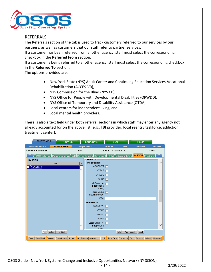

#### <span id="page-14-0"></span>REFERRALS

The Referrals section of the tab is used to track customers referred to our services by our partners, as well as customers that our staff refer to partner services.

If a customer has been referred from another agency, staff must select the corresponding checkbox in the **Referred From** section.

If a customer is being referred to another agency, staff must select the corresponding checkbox in the **Referred To** section.

The options provided are:

- New York State (NYS) Adult Career and Continuing Education Services-Vocational Rehabilitation (ACCES-VR),
- NYS Commission for the Blind (NYS CB),
- NYS Office for People with Developmental Disabilities (OPWDD),
- NYS Office of Temporary and Disability Assistance (OTDA)
- Local centers for independent living, and
- Local mental health providers.

There is also a text field under both referral sections in which staff may enter any agency not already accounted for on the above list (e.g., TBI provider, local reentry taskforce, addiction treatment center).

| <b>CUSTOMER</b><br><b>PROVIDER</b>                                                                                          |                    | <b>EMPLOYER</b>        | <b>STAFF</b>         |                             | <b>HELP</b> |                |
|-----------------------------------------------------------------------------------------------------------------------------|--------------------|------------------------|----------------------|-----------------------------|-------------|----------------|
| <b>Customer Search</b><br><b>Customer Detail</b>                                                                            | <b>Comp Assess</b> |                        | <b>Services</b>      | Links                       | JobZone     | <b>NextGen</b> |
| Cecelia, Customer                                                                                                           | SSN:               |                        | OSOS ID: NY015304710 |                             |             | 1 of 1         |
| <} MIOA Referrals Primary Language DOB DEI DEI Round 6 DEI Round 8 THRIVE Entergy Initiative <b>NY SCION</b> NYESS Info > > |                    |                        |                      |                             |             |                |
| <b>NY SCION</b>                                                                                                             |                    | <b>Referrals</b>       |                      |                             |             |                |
| Date                                                                                                                        | $\,>$              | <b>Referred From:</b>  |                      |                             |             | ∧              |
| 01/04/2022<br>√                                                                                                             |                    | ACCES-VR V             |                      |                             |             |                |
|                                                                                                                             |                    | <b>NYSCB</b>           |                      |                             |             |                |
|                                                                                                                             |                    | <b>OPWDD</b>           |                      |                             |             |                |
|                                                                                                                             |                    | <b>OTDA</b>            |                      |                             |             |                |
|                                                                                                                             |                    | Local Center for       |                      |                             |             |                |
|                                                                                                                             |                    | Independent<br>Living  |                      |                             |             |                |
|                                                                                                                             |                    | Local Mental           |                      |                             |             |                |
|                                                                                                                             |                    | <b>Health Provider</b> |                      |                             |             |                |
|                                                                                                                             |                    | Other                  |                      |                             |             |                |
|                                                                                                                             |                    | <b>Referred To:</b>    |                      |                             |             |                |
|                                                                                                                             |                    | ACCES-VR               |                      |                             |             |                |
|                                                                                                                             |                    | <b>NYSCB</b>           |                      |                             |             |                |
|                                                                                                                             |                    | OPWDD                  |                      |                             |             |                |
|                                                                                                                             |                    | <b>ODTA</b>            |                      |                             |             |                |
|                                                                                                                             |                    | Local Center for       |                      |                             |             |                |
|                                                                                                                             |                    | Independent            |                      |                             |             |                |
|                                                                                                                             |                    | I ivina                |                      |                             |             |                |
| Delete<br>Print List<br>Add                                                                                                 |                    |                        |                      | Help<br><b>Print Record</b> | Audit       |                |
| Start Match Services Comp Assess Activity   I.A. Referrals Correspond<br>Save                                               |                    | <b>IVR</b>             |                      | Ret to Srch Comments<br>Tag | Resume      | Sched Message  |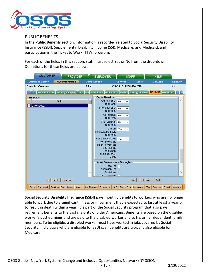

## <span id="page-15-0"></span>PUBLIC BENEFITS

In the **Public Benefits** section, information is recorded related to Social Security Disability Insurance (SSDI), Supplemental Disability Income (SSI), Medicare, and Medicaid, and participation in the Ticket to Work (TTW) program.

For each of the fields in this section, staff must select Yes or No from the drop-down. Definitions for these fields are below.



**Social Security Disability Insurance (SSDI)** pays monthly benefits to workers who are no longer able to work due to a significant illness or impairment that is expected to last at least a year or to result in death within a year. It is part of the Social Security program that also pays retirement benefits to the vast majority of older Americans. Benefits are based on the disabled worker's past earnings and are paid to the disabled worker and to his or her dependent family members. To be eligible, a disabled worker must have worked in jobs covered by Social Security. Individuals who are eligible for SSDI cash benefits are typically also eligible for Medicare.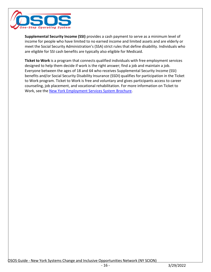

**Supplemental Security Income (SSI)** provides a cash payment to serve as a minimum level of income for people who have limited to no earned income and limited assets and are elderly or meet the Social Security Administration's (SSA) strict rules that define disability. Individuals who are eligible for SSI cash benefits are typically also eligible for Medicaid.

<span id="page-16-0"></span>**Ticket to Work** is a program that connects qualified individuals with free employment services designed to help them decide if work is the right answer; find a job and maintain a job. Everyone between the ages of 18 and 64 who receives Supplemental Security Income (SSI) benefits and/or Social Security Disability Insurance (SSDI) qualifies for participation in the Ticket to Work program. Ticket to Work is free and voluntary and gives participants access to career counseling, job placement, and vocational rehabilitation. For more information on Ticket to Work, see th[e New York Employment Services System Brochure.](https://nyess.ny.gov/docs/nyessbrochure.pdf)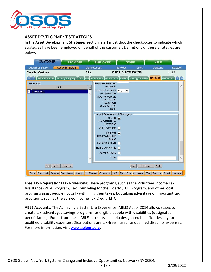

### <span id="page-17-0"></span>ASSET DEVELOPMENT STRATEGIES

In the Asset Development Strategies section, staff must click the checkboxes to indicate which strategies have been employed on behalf of the customer. Definitions of these strategies are below.

| <b>CUSTOMER</b>                                                                          | <b>PROVIDER</b>        | <b>EMPLOYER</b>                            | <b>STAFF</b>             | <b>HELP</b>                  |                |
|------------------------------------------------------------------------------------------|------------------------|--------------------------------------------|--------------------------|------------------------------|----------------|
| <b>Customer Search</b>                                                                   | <b>Customer Detail</b> | <b>Comp Assess</b>                         | Links<br><b>Services</b> | JobZone                      | <b>NextGen</b> |
| Cecelia, Customer                                                                        | SSN:                   |                                            | OSOS ID: NY015304710     |                              | $1$ of $1$     |
| WOA Referrals Primary Language DOB DEI DEI Round 6 DEI Round 8 THRIVE Entergy Initiative |                        |                                            |                          | NY SCION NYESS Info > >      |                |
| <b>NY SCION</b>                                                                          |                        | Medicare/Medicaid                          |                          |                              |                |
| Date                                                                                     | $\!>$                  | recipient?                                 |                          |                              | Λ              |
| 01/04/2022<br>ण                                                                          |                        | Has the local area<br>completed the        | Yes<br>$\checkmark$      |                              |                |
|                                                                                          |                        | <b>Ticket to Work tab</b>                  |                          |                              |                |
|                                                                                          |                        | and has the<br>participant                 |                          |                              |                |
|                                                                                          |                        | as signed their                            |                          |                              |                |
|                                                                                          |                        | Ticket?                                    |                          |                              |                |
|                                                                                          |                        | <b>Asset Development Strategies</b>        |                          |                              |                |
|                                                                                          |                        | Free Tax $\overline{y}$<br>Preparation/Tax |                          |                              |                |
|                                                                                          |                        | Provisions                                 |                          |                              |                |
|                                                                                          |                        | <b>ABLE Accounts</b>                       |                          |                              |                |
|                                                                                          |                        | Financial $\sqrt{}$<br>Literacy/Capability |                          |                              |                |
|                                                                                          |                        | Training                                   |                          |                              |                |
|                                                                                          |                        | Self Employment                            |                          |                              |                |
|                                                                                          |                        | Home-Ownership                             |                          |                              |                |
|                                                                                          |                        | Auto Purchase                              |                          |                              |                |
|                                                                                          |                        | Other                                      |                          |                              |                |
|                                                                                          |                        |                                            |                          |                              |                |
| Add<br>Delete                                                                            | <b>Print List</b>      |                                            | Help                     | Audit<br><b>Print Record</b> |                |
| Start Match Services Comp Assess Activity<br>Save                                        |                        | I.A. Referrals Correspond<br><b>IVR</b>    | Ret to Srch Comments     | Resume Sched<br>Tag          | Message        |

**Free Tax Preparation/Tax Provisions**: These programs, such as the Volunteer Income Tax Assistance (VITA) Program, Tax Counseling for the Elderly (TCE) Program, and other local programs assist people not only with filing their taxes, but taking advantage of important tax provisions, such as the Earned Income Tax Credit (EITC).

**ABLE Accounts:** The Achieving a Better Life Experience (ABLE) Act of 2014 allows states to create tax-advantaged savings programs for eligible people with disabilities (designated beneficiaries). Funds from these ABLE accounts can help designated beneficiaries pay for qualified disability expenses. Distributions are tax-free if used for qualified disability expenses. For more information, visit [www.ablenrc.org.](http://www.ablenrc.org/)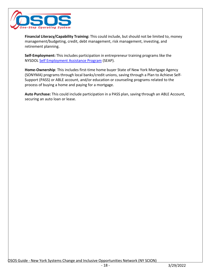

**Financial Literacy/Capability Training:** This could include, but should not be limited to, money management/budgeting, credit, debt management, risk management, investing, and retirement planning.

**Self-Employment:** This includes participation in entrepreneur training programs like the NYSDOL [Self Employment Assistance Program](https://dol.ny.gov/SEAP) (SEAP).

**Home-Ownership**: This includes first-time home buyer State of New York Mortgage Agency (SONYMA) programs through local banks/credit unions, saving through a Plan to [Achieve](https://choosework.ssa.gov/library/faq-plan-to-achieve-self-support) Self-[Support \(PASS\) o](https://choosework.ssa.gov/library/faq-plan-to-achieve-self-support)r ABLE account, and/or education or counseling programs related to the process of buying a home and paying for a mortgage.

**Auto Purchase:** This could include participation in a PASS plan, saving through an ABLE Account, securing an auto loan or lease.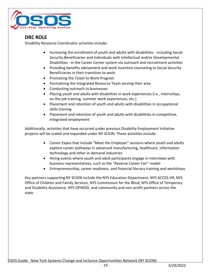

# <span id="page-19-0"></span>**DRC ROLE**

Disability Resource Coordinator activities include:

- Increasing the enrollment of youth and adults with disabilities including Social Security Beneficiaries and Individuals with Intellectual and/or Developmental Disabilities - in the Career Center system via outreach and recruitment activities
- Providing benefits advisement and work incentive counseling to Social Security Beneficiaries in their transition to work
- Promoting the Ticket to Work Program
- Formalizing the Integrated Resource Team serving their area
- Conducting outreach to businesses
- Placing youth and adults with disabilities in work experiences (i.e., internships, on the job training, summer work experiences, etc.)
- Placement and retention of youth and adults with disabilities in occupational skills training
- Placement and retention of youth and adults with disabilities in competitive, integrated employment

Additionally, activities that have occurred under previous Disability Employment Initiative projects will be scaled and expanded under NY SCION. These activities include:

- Career Expos that include "Meet the Employer" sessions where youth and adults explore career pathways in advanced manufacturing, healthcare, information technology and other in-demand industries
- Hiring events where youth and adult participants engage in interviews with business representatives, such as the "Reverse Career Fair" model
- Entrepreneurship, career readiness, and financial literacy training and workshops

Key partners supporting NY SCION include the NYS Education Department, NYS ACCES-VR, NYS Office of Children and Family Services, NYS Commission for the Blind, NYS Office of Temporary and Disability Assistance, NYS OPWDD, and community and non-profit partners across the state.